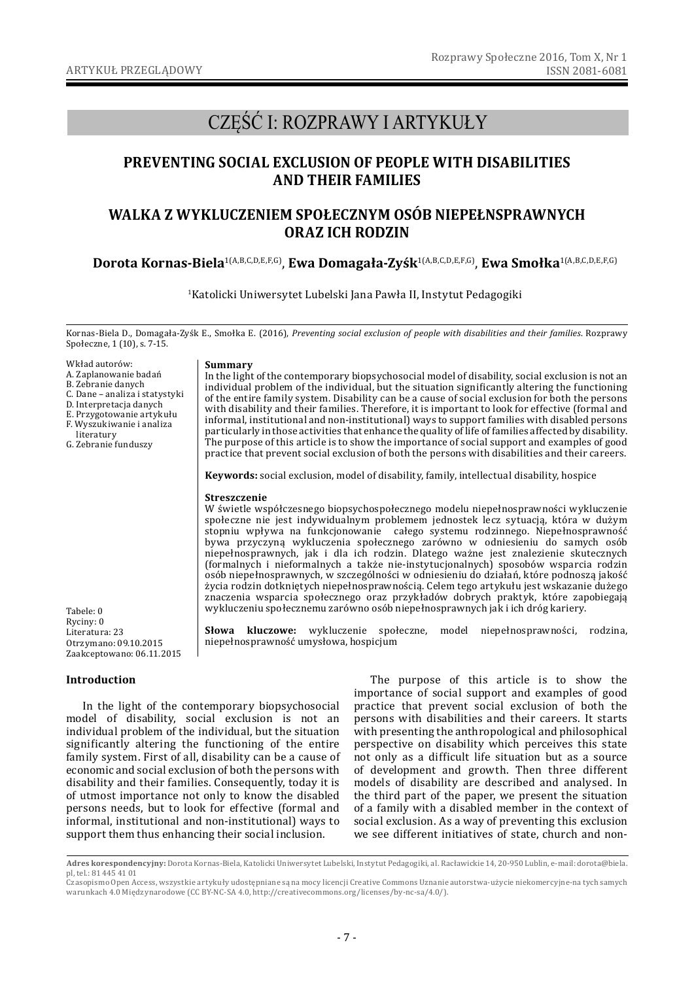# CZĘŚĆ I: ROZPRAWY I ARTYKUŁY

## **PREVENTING SOCIAL EXCLUSION OF PEOPLE WITH DISABILITIES AND THEIR FAMILIES**

## **WALKA Z WYKLUCZENIEM SPOŁECZNYM OSÓB NIEPEŁNSPRAWNYCH ORAZ ICH RODZIN**

## **Dorota Kornas-Biela**1(A,B,C,D,E,F,G), **Ewa Domagała-Zyśk**1(A,B,C,D,E,F,G), **Ewa Smołka**1(A,B,C,D,E,F,G)

1Katolicki Uniwersytet Lubelski Jana Pawła II, Instytut Pedagogiki

Kornas-Biela D., Domagała-Zyśk E., Smołka E. (2016), *Preventing social exclusion of people with disabilities and their families*. Rozprawy Społeczne, 1 (10), s. 7-15.

- Wkład autorów:
- A. Zaplanowanie badań
- B. Zebranie danych
- C. Dane analiza i statystyki
- D. Interpretacja danych
- E. Przygotowanie artykułu
- F. Wyszukiwanie i analiza
- literatury
- G. Zebranie funduszy

#### **Summary**

In the light of the contemporary biopsychosocial model of disability, social exclusion is not an individual problem of the individual, but the situation significantly altering the functioning of the entire family system. Disability can be a cause of social exclusion for both the persons with disability and their families. Therefore, it is important to look for effective (formal and informal, institutional and non-institutional) ways to support families with disabled persons particularly in those activities that enhance the quality of life of families affected by disability. The purpose of this article is to show the importance of social support and examples of good practice that prevent social exclusion of both the persons with disabilities and their careers.

**Keywords:** social exclusion, model of disability, family, intellectual disability, hospice

#### **Streszczenie**

W świetle współczesnego biopsychospołecznego modelu niepełnosprawności wykluczenie społeczne nie jest indywidualnym problemem jednostek lecz sytuacją, która w dużym stopniu wpływa na funkcjonowanie całego systemu rodzinnego. Niepełnosprawność bywa przyczyną wykluczenia społecznego zarówno w odniesieniu do samych osób niepełnosprawnych, jak i dla ich rodzin. Dlatego ważne jest znalezienie skutecznych (formalnych i nieformalnych a także nie-instytucjonalnych) sposobów wsparcia rodzin osób niepełnosprawnych, w szczególności w odniesieniu do działań, które podnoszą jakość życia rodzin dotkniętych niepełnosprawnością. Celem tego artykułu jest wskazanie dużego znaczenia wsparcia społecznego oraz przykładów dobrych praktyk, które zapobiegają wykluczeniu społecznemu zarówno osób niepełnosprawnych jak i ich dróg kariery.

**Słowa kluczowe:** wykluczenie społeczne, model niepełnosprawności, rodzina, niepełnosprawność umysłowa, hospicjum

Tabele: 0 Ryciny: 0 Literatura: 23 Otrzymano: 09.10.2015 Zaakceptowano: 06.11.2015

## **Introduction**

In the light of the contemporary biopsychosocial model of disability, social exclusion is not an individual problem of the individual, but the situation significantly altering the functioning of the entire family system. First of all, disability can be a cause of economic and social exclusion of both the persons with disability and their families. Consequently, today it is of utmost importance not only to know the disabled persons needs, but to look for effective (formal and informal, institutional and non-institutional) ways to support them thus enhancing their social inclusion.

The purpose of this article is to show the importance of social support and examples of good practice that prevent social exclusion of both the persons with disabilities and their careers. It starts with presenting the anthropological and philosophical perspective on disability which perceives this state not only as a difficult life situation but as a source of development and growth. Then three different models of disability are described and analysed. In the third part of the paper, we present the situation of a family with a disabled member in the context of social exclusion. As a way of preventing this exclusion we see different initiatives of state, church and non-

**Adres korespondencyjny:** Dorota Kornas-Biela, Katolicki Uniwersytet Lubelski, Instytut Pedagogiki, al. Racławickie 14, 20-950 Lublin, e-mail: dorota@biela. pl, tel.: 81 445 41 01

Czasopismo Open Access, wszystkie artykuły udostępniane są na mocy licencji Creative Commons Uznanie autorstwa-użycie niekomercyjne-na tych samych warunkach 4.0 Międzynarodowe (CC BY-NC-SA 4.0, http://creativecommons.org/licenses/by-nc-sa/4.0/).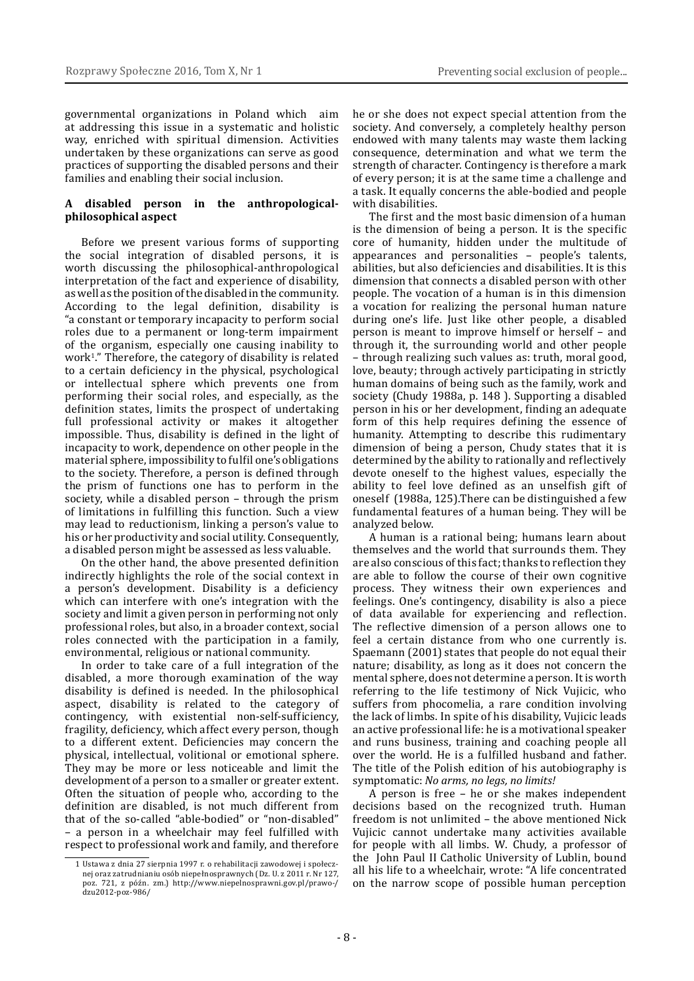governmental organizations in Poland which aim at addressing this issue in a systematic and holistic way, enriched with spiritual dimension. Activities undertaken by these organizations can serve as good practices of supporting the disabled persons and their families and enabling their social inclusion.

#### **A disabled person in the anthropologicalphilosophical aspect**

Before we present various forms of supporting the social integration of disabled persons, it is worth discussing the philosophical-anthropological interpretation of the fact and experience of disability, as well as the position of the disabled in the community. According to the legal definition, disability is "a constant or temporary incapacity to perform social roles due to a permanent or long-term impairment of the organism, especially one causing inability to work<sup>1</sup>." Therefore, the category of disability is related to a certain deficiency in the physical, psychological or intellectual sphere which prevents one from performing their social roles, and especially, as the definition states, limits the prospect of undertaking full professional activity or makes it altogether impossible. Thus, disability is defined in the light of incapacity to work, dependence on other people in the material sphere, impossibility to fulfil one's obligations to the society. Therefore, a person is defined through the prism of functions one has to perform in the society, while a disabled person – through the prism of limitations in fulfilling this function. Such a view may lead to reductionism, linking a person's value to his or her productivity and social utility. Consequently, a disabled person might be assessed as less valuable.

On the other hand, the above presented definition indirectly highlights the role of the social context in a person's development. Disability is a deficiency which can interfere with one's integration with the society and limit a given person in performing not only professional roles, but also, in a broader context, social roles connected with the participation in a family, environmental, religious or national community.

In order to take care of a full integration of the disabled, a more thorough examination of the way disability is defined is needed. In the philosophical aspect, disability is related to the category of contingency, with existential non-self-sufficiency, fragility, deficiency, which affect every person, though to a different extent. Deficiencies may concern the physical, intellectual, volitional or emotional sphere. They may be more or less noticeable and limit the development of a person to a smaller or greater extent. Often the situation of people who, according to the definition are disabled, is not much different from that of the so-called "able-bodied" or "non-disabled" – a person in a wheelchair may feel fulfilled with respect to professional work and family, and therefore

he or she does not expect special attention from the society. And conversely, a completely healthy person endowed with many talents may waste them lacking consequence, determination and what we term the strength of character. Contingency is therefore a mark of every person; it is at the same time a challenge and a task. It equally concerns the able-bodied and people with disabilities.

The first and the most basic dimension of a human is the dimension of being a person. It is the specific core of humanity, hidden under the multitude of appearances and personalities – people's talents, abilities, but also deficiencies and disabilities. It is this dimension that connects a disabled person with other people. The vocation of a human is in this dimension a vocation for realizing the personal human nature during one's life. Just like other people, a disabled person is meant to improve himself or herself – and through it, the surrounding world and other people – through realizing such values as: truth, moral good, love, beauty; through actively participating in strictly human domains of being such as the family, work and society (Chudy 1988a, p. 148 ). Supporting a disabled person in his or her development, finding an adequate form of this help requires defining the essence of humanity. Attempting to describe this rudimentary dimension of being a person, Chudy states that it is determined by the ability to rationally and reflectively devote oneself to the highest values, especially the ability to feel love defined as an unselfish gift of oneself (1988a, 125).There can be distinguished a few fundamental features of a human being. They will be analyzed below.

A human is a rational being; humans learn about themselves and the world that surrounds them. They are also conscious of this fact; thanks to reflection they are able to follow the course of their own cognitive process. They witness their own experiences and feelings. One's contingency, disability is also a piece of data available for experiencing and reflection. The reflective dimension of a person allows one to feel a certain distance from who one currently is. Spaemann (2001) states that people do not equal their nature; disability, as long as it does not concern the mental sphere, does not determine a person. It is worth referring to the life testimony of Nick Vujicic, who suffers from phocomelia, a rare condition involving the lack of limbs. In spite of his disability, Vujicic leads an active professional life: he is a motivational speaker and runs business, training and coaching people all over the world. He is a fulfilled husband and father. The title of the Polish edition of his autobiography is symptomatic: *No arms, no legs, no limits!*

A person is free – he or she makes independent decisions based on the recognized truth. Human freedom is not unlimited – the above mentioned Nick Vujicic cannot undertake many activities available for people with all limbs. W. Chudy, a professor of the John Paul II Catholic University of Lublin, bound all his life to a wheelchair, wrote: "A life concentrated on the narrow scope of possible human perception

<sup>1</sup> Ustawa z dnia 27 sierpnia 1997 r. o rehabilitacji zawodowej i społecznej oraz zatrudnianiu osób niepełnosprawnych (Dz. U. z 2011 r. Nr 127, poz. 721, z późn. zm.) http://www.niepelnosprawni.gov.pl/prawo-/ dzu2012-poz-986/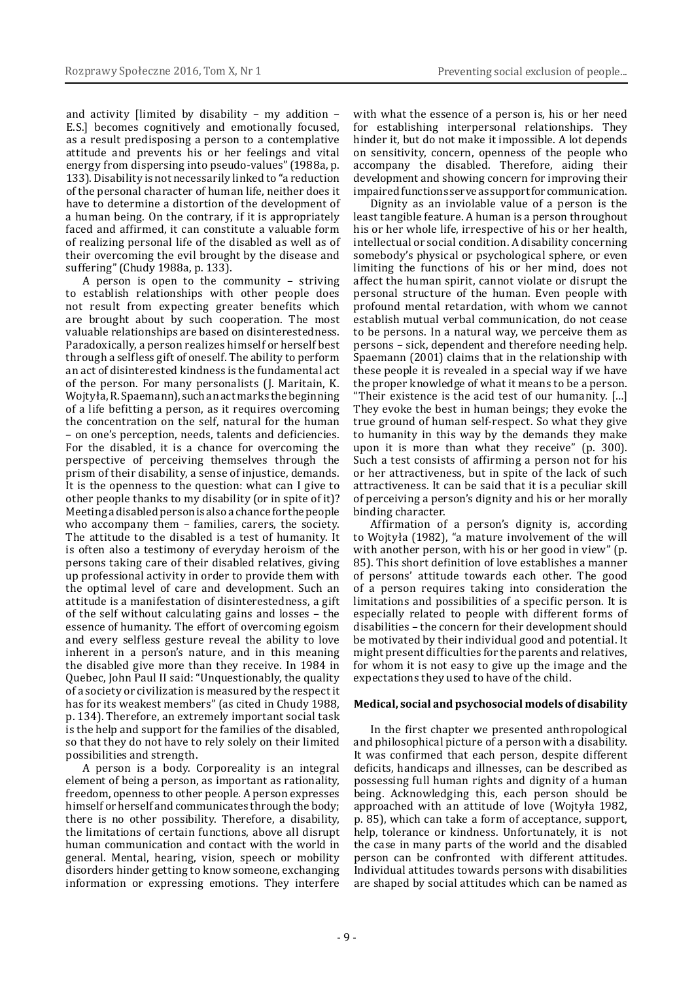and activity [limited by disability – my addition – E.S.] becomes cognitively and emotionally focused, as a result predisposing a person to a contemplative attitude and prevents his or her feelings and vital energy from dispersing into pseudo-values" (1988a, p. 133). Disability is not necessarily linked to "a reduction of the personal character of human life, neither does it have to determine a distortion of the development of a human being. On the contrary, if it is appropriately faced and affirmed, it can constitute a valuable form of realizing personal life of the disabled as well as of their overcoming the evil brought by the disease and suffering" (Chudy 1988a, p. 133).

A person is open to the community – striving to establish relationships with other people does not result from expecting greater benefits which are brought about by such cooperation. The most valuable relationships are based on disinterestedness. Paradoxically, a person realizes himself or herself best through a selfless gift of oneself. The ability to perform an act of disinterested kindness is the fundamental act of the person. For many personalists (J. Maritain, K. Wojtyła, R. Spaemann), such an act marks the beginning of a life befitting a person, as it requires overcoming the concentration on the self, natural for the human – on one's perception, needs, talents and deficiencies. For the disabled, it is a chance for overcoming the perspective of perceiving themselves through the prism of their disability, a sense of injustice, demands. It is the openness to the question: what can I give to other people thanks to my disability (or in spite of it)? Meeting adisabled person is also achance for the people who accompany them – families, carers, the society. The attitude to the disabled is a test of humanity. It is often also a testimony of everyday heroism of the persons taking care of their disabled relatives, giving up professional activity in order to provide them with the optimal level of care and development. Such an attitude is a manifestation of disinterestedness, a gift of the self without calculating gains and losses – the essence of humanity. The effort of overcoming egoism and every selfless gesture reveal the ability to love inherent in a person's nature, and in this meaning the disabled give more than they receive. In 1984 in Quebec, John Paul II said: "Unquestionably, the quality of a society or civilization is measured by the respect it has for its weakest members" (as cited in Chudy 1988, p. 134). Therefore, an extremely important social task is the help and support for the families of the disabled, so that they do not have to rely solely on their limited possibilities and strength.

A person is a body. Corporeality is an integral element of being a person, as important as rationality, freedom, openness to other people. A person expresses himself or herself and communicates through the body; there is no other possibility. Therefore, a disability, the limitations of certain functions, above all disrupt human communication and contact with the world in general. Mental, hearing, vision, speech or mobility disorders hinder getting to know someone, exchanging information or expressing emotions. They interfere

with what the essence of a person is, his or her need for establishing interpersonal relationships. They hinder it, but do not make it impossible. A lot depends on sensitivity, concern, openness of the people who accompany the disabled. Therefore, aiding their development and showing concern for improving their impaired functions serve as support for communication.

Dignity as an inviolable value of a person is the least tangible feature. A human is a person throughout his or her whole life, irrespective of his or her health, intellectual or social condition. A disability concerning somebody's physical or psychological sphere, or even limiting the functions of his or her mind, does not affect the human spirit, cannot violate or disrupt the personal structure of the human. Even people with profound mental retardation, with whom we cannot establish mutual verbal communication, do not cease to be persons. In a natural way, we perceive them as persons – sick, dependent and therefore needing help. Spaemann (2001) claims that in the relationship with these people it is revealed in a special way if we have the proper knowledge of what it means to be a person. "Their existence is the acid test of our humanity. […] They evoke the best in human beings; they evoke the true ground of human self-respect. So what they give to humanity in this way by the demands they make upon it is more than what they receive" (p. 300). Such a test consists of affirming a person not for his or her attractiveness, but in spite of the lack of such attractiveness. It can be said that it is a peculiar skill of perceiving a person's dignity and his or her morally binding character.

Affirmation of a person's dignity is, according to Wojtyła (1982), "a mature involvement of the will with another person, with his or her good in view" (p. 85). This short definition of love establishes a manner of persons' attitude towards each other. The good of a person requires taking into consideration the limitations and possibilities of a specific person. It is especially related to people with different forms of disabilities – the concern for their development should be motivated by their individual good and potential. It might present difficulties for the parents and relatives, for whom it is not easy to give up the image and the expectations they used to have of the child.

#### **Medical, social and psychosocial models of disability**

In the first chapter we presented anthropological and philosophical picture of a person with a disability. It was confirmed that each person, despite different deficits, handicaps and illnesses, can be described as possessing full human rights and dignity of a human being. Acknowledging this, each person should be approached with an attitude of love (Wojtyła 1982, p. 85), which can take a form of acceptance, support, help, tolerance or kindness. Unfortunately, it is not the case in many parts of the world and the disabled person can be confronted with different attitudes. Individual attitudes towards persons with disabilities are shaped by social attitudes which can be named as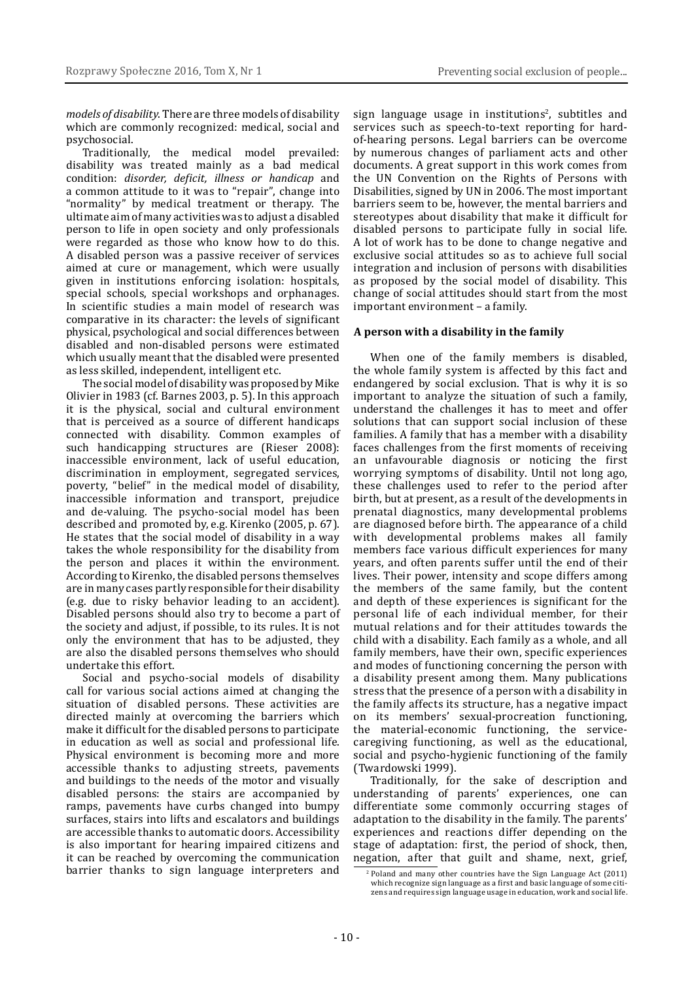*models of disability*. There are three models of disability which are commonly recognized: medical, social and psychosocial.

Traditionally, the medical model prevailed: disability was treated mainly as a bad medical condition: *disorder, deficit, illness or handicap* and a common attitude to it was to "repair", change into "normality" by medical treatment or therapy. The ultimate aim of many activities was to adjust a disabled person to life in open society and only professionals were regarded as those who know how to do this. A disabled person was a passive receiver of services aimed at cure or management, which were usually given in institutions enforcing isolation: hospitals, special schools, special workshops and orphanages. In scientific studies a main model of research was comparative in its character: the levels of significant physical, psychological and social differences between disabled and non-disabled persons were estimated which usually meant that the disabled were presented as less skilled, independent, intelligent etc.

The social model of disability was proposed by Mike Olivier in 1983 (cf. Barnes 2003, p. 5). In this approach it is the physical, social and cultural environment that is perceived as a source of different handicaps connected with disability. Common examples of such handicapping structures are (Rieser 2008): inaccessible environment, lack of useful education, discrimination in employment, segregated services, poverty, "belief" in the medical model of disability, inaccessible information and transport, prejudice and de-valuing. The psycho-social model has been described and promoted by, e.g. Kirenko (2005, p. 67). He states that the social model of disability in a way takes the whole responsibility for the disability from the person and places it within the environment. According to Kirenko, the disabled persons themselves are in many cases partly responsible for their disability (e.g. due to risky behavior leading to an accident). Disabled persons should also try to become a part of the society and adjust, if possible, to its rules. It is not only the environment that has to be adjusted, they are also the disabled persons themselves who should undertake this effort.

Social and psycho-social models of disability call for various social actions aimed at changing the situation of disabled persons. These activities are directed mainly at overcoming the barriers which make it difficult for the disabled persons to participate in education as well as social and professional life. Physical environment is becoming more and more accessible thanks to adjusting streets, pavements and buildings to the needs of the motor and visually disabled persons: the stairs are accompanied by ramps, pavements have curbs changed into bumpy surfaces, stairs into lifts and escalators and buildings are accessible thanks to automatic doors. Accessibility is also important for hearing impaired citizens and it can be reached by overcoming the communication barrier thanks to sign language interpreters and

sign language usage in institutions<sup>2</sup>, subtitles and services such as speech-to-text reporting for hardof-hearing persons. Legal barriers can be overcome by numerous changes of parliament acts and other documents. A great support in this work comes from the UN Convention on the Rights of Persons with Disabilities, signed by UN in 2006. The most important barriers seem to be, however, the mental barriers and stereotypes about disability that make it difficult for disabled persons to participate fully in social life. A lot of work has to be done to change negative and exclusive social attitudes so as to achieve full social integration and inclusion of persons with disabilities as proposed by the social model of disability. This change of social attitudes should start from the most important environment – a family.

## **A person with a disability in the family**

When one of the family members is disabled, the whole family system is affected by this fact and endangered by social exclusion. That is why it is so important to analyze the situation of such a family, understand the challenges it has to meet and offer solutions that can support social inclusion of these families. A family that has a member with a disability faces challenges from the first moments of receiving an unfavourable diagnosis or noticing the first worrying symptoms of disability. Until not long ago, these challenges used to refer to the period after birth, but at present, as a result of the developments in prenatal diagnostics, many developmental problems are diagnosed before birth. The appearance of a child with developmental problems makes all family members face various difficult experiences for many years, and often parents suffer until the end of their lives. Their power, intensity and scope differs among the members of the same family, but the content and depth of these experiences is significant for the personal life of each individual member, for their mutual relations and for their attitudes towards the child with a disability. Each family as a whole, and all family members, have their own, specific experiences and modes of functioning concerning the person with a disability present among them. Many publications stress that the presence of a person with a disability in the family affects its structure, has a negative impact on its members' sexual-procreation functioning, the material-economic functioning, the servicecaregiving functioning, as well as the educational, social and psycho-hygienic functioning of the family (Twardowski 1999).

Traditionally, for the sake of description and understanding of parents' experiences, one can differentiate some commonly occurring stages of adaptation to the disability in the family. The parents' experiences and reactions differ depending on the stage of adaptation: first, the period of shock, then, negation, after that guilt and shame, next, grief,

 $\frac{2}{2}$  Poland and many other countries have the Sign Language Act (2011) which recognize sign language as a first and basic language of some citizens and requires sign language usage in education, work and social life.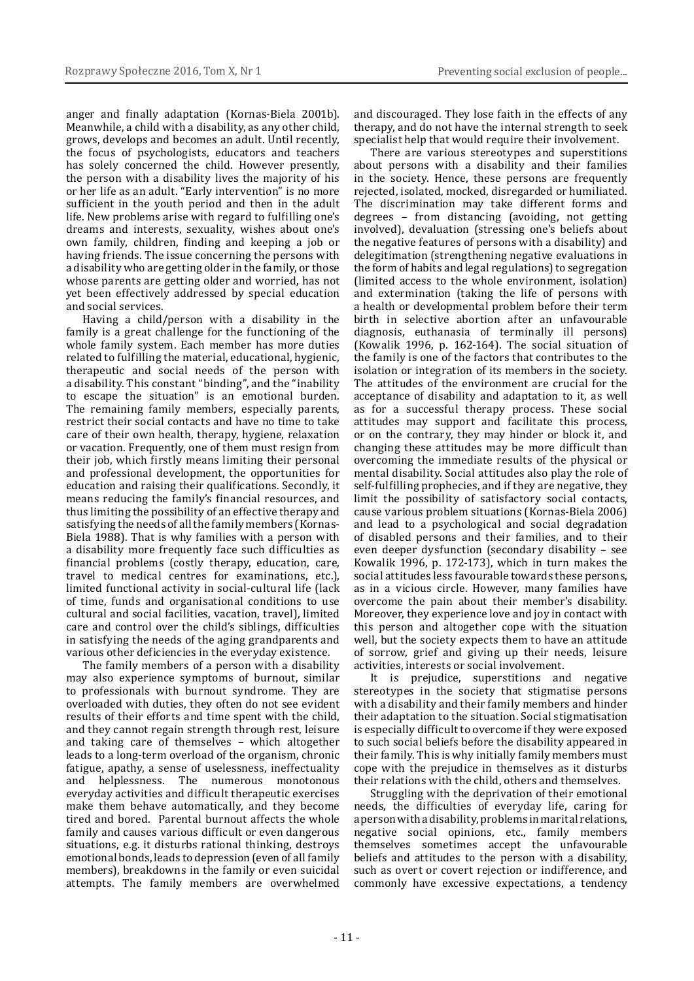anger and finally adaptation (Kornas-Biela 2001b). Meanwhile, a child with a disability, as any other child, grows, develops and becomes an adult. Until recently, the focus of psychologists, educators and teachers has solely concerned the child. However presently, the person with a disability lives the majority of his or her life as an adult. "Early intervention" is no more sufficient in the youth period and then in the adult life. New problems arise with regard to fulfilling one's dreams and interests, sexuality, wishes about one's own family, children, finding and keeping a job or having friends. The issue concerning the persons with a disability who are getting older in the family, or those whose parents are getting older and worried, has not yet been effectively addressed by special education and social services.

Having a child/person with a disability in the family is a great challenge for the functioning of the whole family system. Each member has more duties related to fulfilling the material, educational, hygienic, therapeutic and social needs of the person with a disability. This constant "binding", and the "inability to escape the situation" is an emotional burden. The remaining family members, especially parents, restrict their social contacts and have no time to take care of their own health, therapy, hygiene, relaxation or vacation. Frequently, one of them must resign from their job, which firstly means limiting their personal and professional development, the opportunities for education and raising their qualifications. Secondly, it means reducing the family's financial resources, and thus limiting the possibility of an effective therapy and satisfying the needs of all the family members (Kornas-Biela 1988). That is why families with a person with a disability more frequently face such difficulties as financial problems (costly therapy, education, care, travel to medical centres for examinations, etc.), limited functional activity in social-cultural life (lack of time, funds and organisational conditions to use cultural and social facilities, vacation, travel), limited care and control over the child's siblings, difficulties in satisfying the needs of the aging grandparents and various other deficiencies in the everyday existence.

The family members of a person with a disability may also experience symptoms of burnout, similar to professionals with burnout syndrome. They are overloaded with duties, they often do not see evident results of their efforts and time spent with the child, and they cannot regain strength through rest, leisure and taking care of themselves – which altogether leads to a long-term overload of the organism, chronic fatigue, apathy, a sense of uselessness, ineffectuality<br>and helplessness. The numerous monotonous helplessness. The numerous monotonous everyday activities and difficult therapeutic exercises make them behave automatically, and they become tired and bored. Parental burnout affects the whole family and causes various difficult or even dangerous situations, e.g. it disturbs rational thinking, destroys emotional bonds, leads to depression (even of all family members), breakdowns in the family or even suicidal attempts. The family members are overwhelmed

and discouraged. They lose faith in the effects of any therapy, and do not have the internal strength to seek specialist help that would require their involvement.

There are various stereotypes and superstitions about persons with a disability and their families in the society. Hence, these persons are frequently rejected, isolated, mocked, disregarded or humiliated. The discrimination may take different forms and degrees – from distancing (avoiding, not getting involved), devaluation (stressing one's beliefs about the negative features of persons with a disability) and delegitimation (strengthening negative evaluations in the form of habits and legal regulations) to segregation (limited access to the whole environment, isolation) and extermination (taking the life of persons with a health or developmental problem before their term birth in selective abortion after an unfavourable diagnosis, euthanasia of terminally ill persons) (Kowalik 1996, p. 162-164). The social situation of the family is one of the factors that contributes to the isolation or integration of its members in the society. The attitudes of the environment are crucial for the acceptance of disability and adaptation to it, as well as for a successful therapy process. These social attitudes may support and facilitate this process, or on the contrary, they may hinder or block it, and changing these attitudes may be more difficult than overcoming the immediate results of the physical or mental disability. Social attitudes also play the role of self-fulfilling prophecies, and if they are negative, they limit the possibility of satisfactory social contacts, cause various problem situations (Kornas-Biela 2006) and lead to a psychological and social degradation of disabled persons and their families, and to their even deeper dysfunction (secondary disability – see Kowalik 1996, p. 172-173), which in turn makes the social attitudes less favourable towards these persons, as in a vicious circle. However, many families have overcome the pain about their member's disability. Moreover, they experience love and joy in contact with this person and altogether cope with the situation well, but the society expects them to have an attitude of sorrow, grief and giving up their needs, leisure activities, interests or social involvement.

It is prejudice, superstitions and negative stereotypes in the society that stigmatise persons with a disability and their family members and hinder their adaptation to the situation. Social stigmatisation is especially difficult to overcome if they were exposed to such social beliefs before the disability appeared in their family. This is why initially family members must cope with the prejudice in themselves as it disturbs their relations with the child, others and themselves.

Struggling with the deprivation of their emotional needs, the difficulties of everyday life, caring for aperson with adisability, problems in marital relations, negative social opinions, etc., family members themselves sometimes accept the unfavourable beliefs and attitudes to the person with a disability, such as overt or covert rejection or indifference, and commonly have excessive expectations, a tendency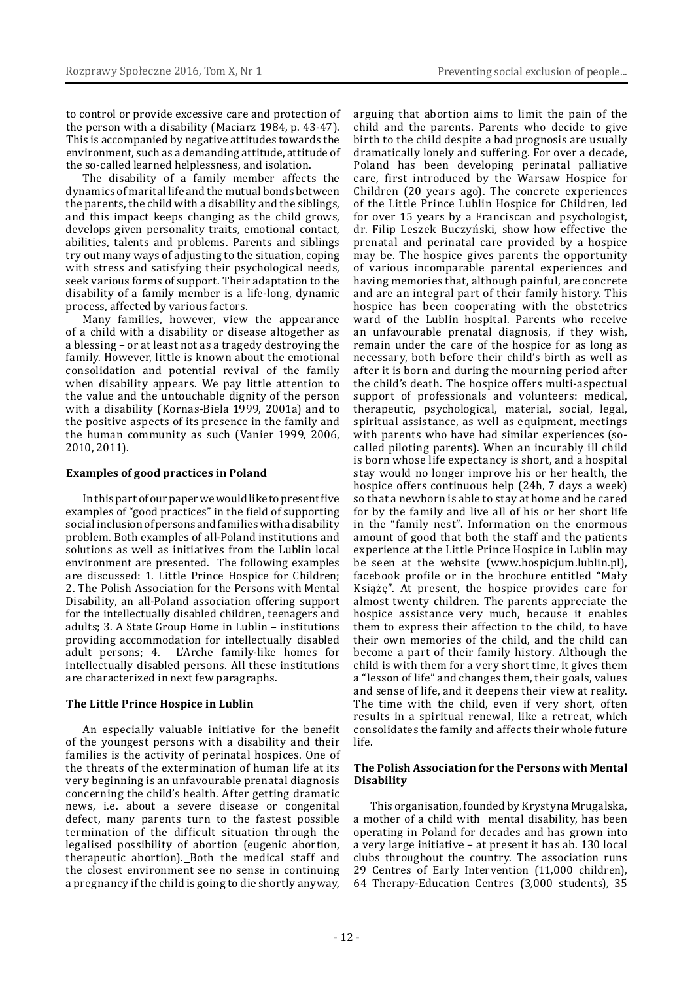to control or provide excessive care and protection of the person with a disability (Maciarz 1984, p. 43-47). This is accompanied by negative attitudes towards the environment, such as a demanding attitude, attitude of the so-called learned helplessness, and isolation.

The disability of a family member affects the dynamics of marital life and the mutual bonds between the parents, the child with a disability and the siblings, and this impact keeps changing as the child grows, develops given personality traits, emotional contact, abilities, talents and problems. Parents and siblings try out many ways of adjusting to the situation, coping with stress and satisfying their psychological needs, seek various forms of support. Their adaptation to the disability of a family member is a life-long, dynamic process, affected by various factors.

Many families, however, view the appearance of a child with a disability or disease altogether as a blessing – or at least not as a tragedy destroying the family. However, little is known about the emotional consolidation and potential revival of the family when disability appears. We pay little attention to the value and the untouchable dignity of the person with a disability (Kornas-Biela 1999, 2001a) and to the positive aspects of its presence in the family and the human community as such (Vanier 1999, 2006, 2010, 2011).

#### **Examples of good practices in Poland**

In this part of our paper we would like to present five examples of "good practices" in the field of supporting social inclusion of persons and families with adisability problem. Both examples of all-Poland institutions and solutions as well as initiatives from the Lublin local environment are presented. The following examples are discussed: 1. Little Prince Hospice for Children; 2. The Polish Association for the Persons with Mental Disability, an all-Poland association offering support for the intellectually disabled children, teenagers and adults; 3. A State Group Home in Lublin – institutions providing accommodation for intellectually disabled adult persons; 4. L'Arche family-like homes for intellectually disabled persons. All these institutions are characterized in next few paragraphs.

## **The Little Prince Hospice in Lublin**

An especially valuable initiative for the benefit of the youngest persons with a disability and their families is the activity of perinatal hospices. One of the threats of the extermination of human life at its very beginning is an unfavourable prenatal diagnosis concerning the child's health. After getting dramatic news, i.e. about a severe disease or congenital defect, many parents turn to the fastest possible termination of the difficult situation through the legalised possibility of abortion (eugenic abortion, therapeutic abortion). Both the medical staff and the closest environment see no sense in continuing a pregnancy if the child is going to die shortly anyway, arguing that abortion aims to limit the pain of the child and the parents. Parents who decide to give birth to the child despite a bad prognosis are usually dramatically lonely and suffering. For over a decade, Poland has been developing perinatal palliative care, first introduced by the Warsaw Hospice for Children (20 years ago). The concrete experiences of the Little Prince Lublin Hospice for Children, led for over 15 years by a Franciscan and psychologist, dr. Filip Leszek Buczyński, show how effective the prenatal and perinatal care provided by a hospice may be. The hospice gives parents the opportunity of various incomparable parental experiences and having memories that, although painful, are concrete and are an integral part of their family history. This hospice has been cooperating with the obstetrics ward of the Lublin hospital. Parents who receive an unfavourable prenatal diagnosis, if they wish, remain under the care of the hospice for as long as necessary, both before their child's birth as well as after it is born and during the mourning period after the child's death. The hospice offers multi-aspectual support of professionals and volunteers: medical, therapeutic, psychological, material, social, legal, spiritual assistance, as well as equipment, meetings with parents who have had similar experiences (socalled piloting parents). When an incurably ill child is born whose life expectancy is short, and a hospital stay would no longer improve his or her health, the hospice offers continuous help (24h, 7 days a week) so that a newborn is able to stay at home and be cared for by the family and live all of his or her short life in the "family nest". Information on the enormous amount of good that both the staff and the patients experience at the Little Prince Hospice in Lublin may be seen at the website (www.hospicjum.lublin.pl), facebook profile or in the brochure entitled "Mały Książę". At present, the hospice provides care for almost twenty children. The parents appreciate the hospice assistance very much, because it enables them to express their affection to the child, to have their own memories of the child, and the child can become a part of their family history. Although the child is with them for a very short time, it gives them a "lesson of life" and changes them, their goals, values and sense of life, and it deepens their view at reality. The time with the child, even if very short, often results in a spiritual renewal, like a retreat, which consolidates the family and affects their whole future life.

## **The Polish Association for the Persons with Mental Disability**

This organisation, founded by Krystyna Mrugalska, a mother of a child with mental disability, has been operating in Poland for decades and has grown into a very large initiative – at present it has ab. 130 local clubs throughout the country. The association runs 29 Centres of Early Intervention (11,000 children), 64 Therapy-Education Centres (3,000 students), 35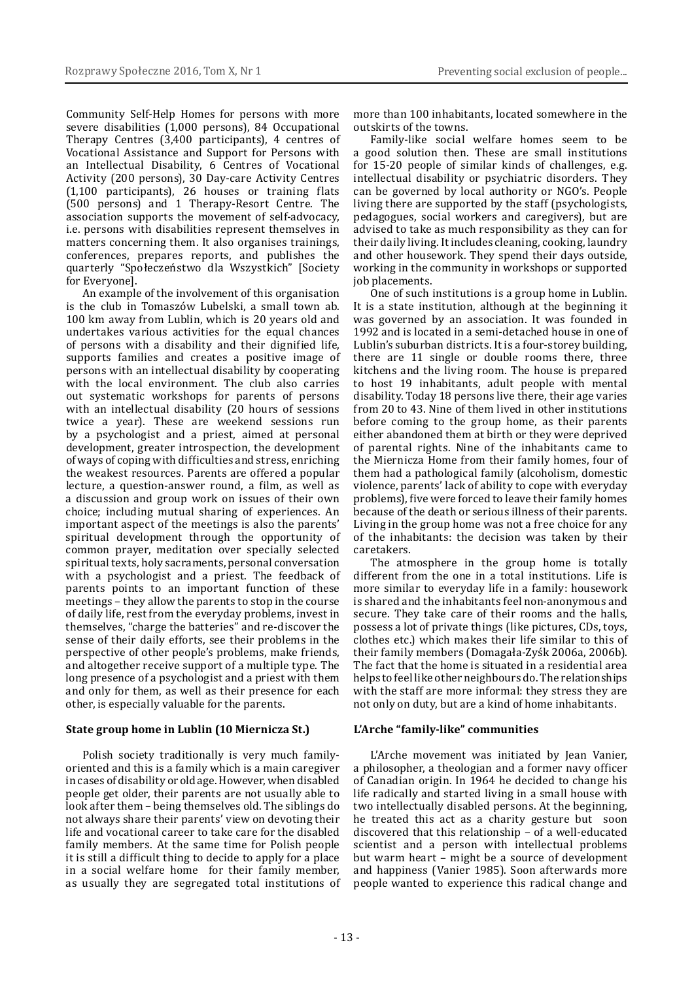Community Self-Help Homes for persons with more severe disabilities (1,000 persons), 84 Occupational Therapy Centres (3,400 participants), 4 centres of Vocational Assistance and Support for Persons with an Intellectual Disability, 6 Centres of Vocational Activity (200 persons), 30 Day-care Activity Centres (1,100 participants), 26 houses or training flats (500 persons) and 1 Therapy-Resort Centre. The association supports the movement of self-advocacy, i.e. persons with disabilities represent themselves in matters concerning them. It also organises trainings, conferences, prepares reports, and publishes the quarterly "Społeczeństwo dla Wszystkich" [Society for Everyone].

An example of the involvement of this organisation is the club in Tomaszów Lubelski, a small town ab. 100 km away from Lublin, which is 20 years old and undertakes various activities for the equal chances of persons with a disability and their dignified life, supports families and creates a positive image of persons with an intellectual disability by cooperating with the local environment. The club also carries out systematic workshops for parents of persons with an intellectual disability (20 hours of sessions twice a year). These are weekend sessions run by a psychologist and a priest, aimed at personal development, greater introspection, the development of ways of coping with difficulties and stress, enriching the weakest resources. Parents are offered a popular lecture, a question-answer round, a film, as well as a discussion and group work on issues of their own choice; including mutual sharing of experiences. An important aspect of the meetings is also the parents' spiritual development through the opportunity of common prayer, meditation over specially selected spiritual texts, holy sacraments, personal conversation with a psychologist and a priest. The feedback of parents points to an important function of these meetings – they allow the parents to stop in the course of daily life, rest from the everyday problems, invest in themselves, "charge the batteries" and re-discover the sense of their daily efforts, see their problems in the perspective of other people's problems, make friends, and altogether receive support of a multiple type. The long presence of a psychologist and a priest with them and only for them, as well as their presence for each other, is especially valuable for the parents.

#### **State group home in Lublin (10 Miernicza St.)**

Polish society traditionally is very much familyoriented and this is a family which is a main caregiver in cases of disability or old age. However, when disabled people get older, their parents are not usually able to look after them – being themselves old. The siblings do not always share their parents' view on devoting their life and vocational career to take care for the disabled family members. At the same time for Polish people it is still a difficult thing to decide to apply for a place in a social welfare home for their family member, as usually they are segregated total institutions of more than 100 inhabitants, located somewhere in the outskirts of the towns.

Family-like social welfare homes seem to be a good solution then. These are small institutions for 15-20 people of similar kinds of challenges, e.g. intellectual disability or psychiatric disorders. They can be governed by local authority or NGO's. People living there are supported by the staff (psychologists, pedagogues, social workers and caregivers), but are advised to take as much responsibility as they can for their daily living. It includes cleaning, cooking, laundry and other housework. They spend their days outside, working in the community in workshops or supported job placements.

One of such institutions is a group home in Lublin. It is a state institution, although at the beginning it was governed by an association. It was founded in 1992 and is located in a semi-detached house in one of Lublin's suburban districts. It is a four-storey building, there are 11 single or double rooms there, three kitchens and the living room. The house is prepared to host 19 inhabitants, adult people with mental disability. Today 18 persons live there, their age varies from 20 to 43. Nine of them lived in other institutions before coming to the group home, as their parents either abandoned them at birth or they were deprived of parental rights. Nine of the inhabitants came to the Miernicza Home from their family homes, four of them had a pathological family (alcoholism, domestic violence, parents' lack of ability to cope with everyday problems), five were forced to leave their family homes because of the death or serious illness of their parents. Living in the group home was not a free choice for any of the inhabitants: the decision was taken by their caretakers.

The atmosphere in the group home is totally different from the one in a total institutions. Life is more similar to everyday life in a family: housework is shared and the inhabitants feel non-anonymous and secure. They take care of their rooms and the halls, possess a lot of private things (like pictures, CDs, toys, clothes etc.) which makes their life similar to this of their family members (Domagała-Zyśk 2006a, 2006b). The fact that the home is situated in a residential area helps to feel like other neighbours do. The relationships with the staff are more informal: they stress they are not only on duty, but are a kind of home inhabitants.

#### **L'Arche "family-like" communities**

L'Arche movement was initiated by Jean Vanier, a philosopher, a theologian and a former navy officer of Canadian origin. In 1964 he decided to change his life radically and started living in a small house with two intellectually disabled persons. At the beginning, he treated this act as a charity gesture but soon discovered that this relationship – of a well-educated scientist and a person with intellectual problems but warm heart – might be a source of development and happiness (Vanier 1985). Soon afterwards more people wanted to experience this radical change and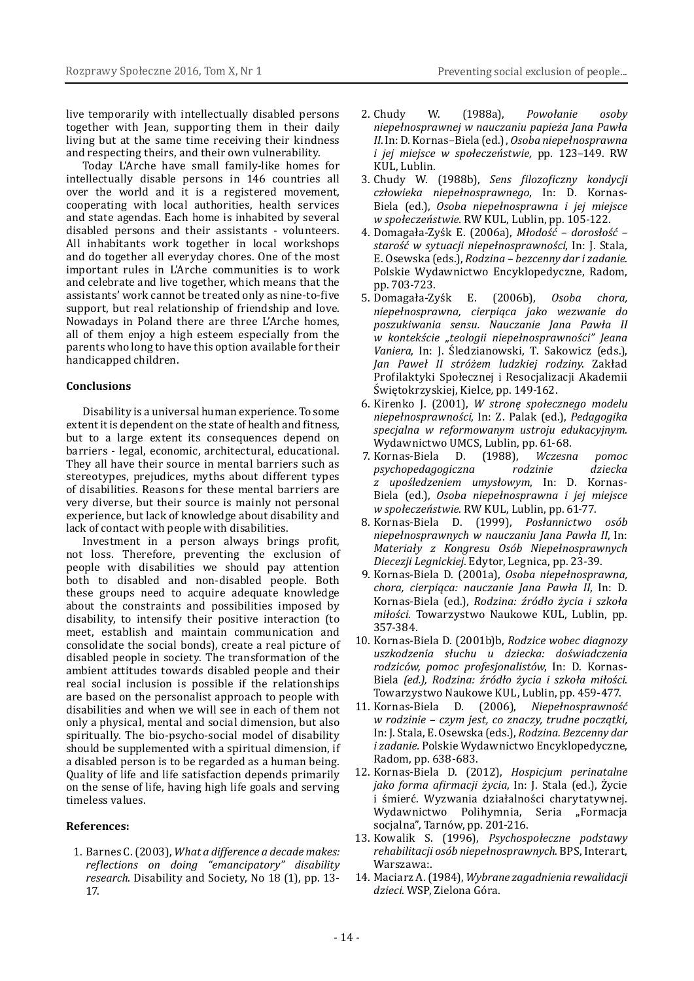live temporarily with intellectually disabled persons together with Jean, supporting them in their daily living but at the same time receiving their kindness and respecting theirs, and their own vulnerability.

Today L'Arche have small family-like homes for intellectually disable persons in 146 countries all over the world and it is a registered movement, cooperating with local authorities, health services and state agendas. Each home is inhabited by several disabled persons and their assistants - volunteers. All inhabitants work together in local workshops and do together all everyday chores. One of the most important rules in L'Arche communities is to work and celebrate and live together, which means that the assistants' work cannot be treated only as nine-to-five support, but real relationship of friendship and love. Nowadays in Poland there are three L'Arche homes, all of them enjoy a high esteem especially from the parents who long to have this option available for their handicapped children.

#### **Conclusions**

Disability is a universal human experience. To some extent it is dependent on the state of health and fitness, but to a large extent its consequences depend on barriers - legal, economic, architectural, educational. They all have their source in mental barriers such as stereotypes, prejudices, myths about different types of disabilities. Reasons for these mental barriers are very diverse, but their source is mainly not personal experience, but lack of knowledge about disability and lack of contact with people with disabilities.

Investment in a person always brings profit, not loss. Therefore, preventing the exclusion of people with disabilities we should pay attention both to disabled and non-disabled people. Both these groups need to acquire adequate knowledge about the constraints and possibilities imposed by disability, to intensify their positive interaction (to meet, establish and maintain communication and consolidate the social bonds), create a real picture of disabled people in society. The transformation of the ambient attitudes towards disabled people and their real social inclusion is possible if the relationships are based on the personalist approach to people with disabilities and when we will see in each of them not only a physical, mental and social dimension, but also spiritually. The bio-psycho-social model of disability should be supplemented with a spiritual dimension, if a disabled person is to be regarded as a human being. Quality of life and life satisfaction depends primarily on the sense of life, having high life goals and serving timeless values.

## **References:**

1. Barnes C. (2003), *What a difference a decade makes: reflections on doing "emancipatory" disability research*. Disability and Society, No 18 (1), pp. 13- 17.

- 2. Chudy W. (1988a), *Powołanie osoby niepełnosprawnej w nauczaniu papieża Jana Pawła II*. In: D. Kornas–Biela (ed.), *Osoba niepełnosprawna i jej miejsce w społeczeństwie,* pp. 123–149. RW KUL, Lublin.
- 3. Chudy W. (1988b), *Sens filozoficzny kondycji człowieka niepełnosprawnego*, In: D. Kornas-Biela (ed.), *Osoba niepełnosprawna i jej miejsce w społeczeństwie.* RW KUL, Lublin, pp. 105-122.
- 4. Domagała-Zyśk E. (2006a), *Młodość dorosłość starość w sytuacji niepełnosprawności*, In: J. Stala, E. Osewska (eds.), *Rodzina – bezcenny dar i zadanie*. Polskie Wydawnictwo Encyklopedyczne, Radom, pp. 703-723.
- 5. Domagała-Zyśk E. (2006b), *Osoba chora, niepełnosprawna, cierpiąca jako wezwanie do poszukiwania sensu. Nauczanie Jana Pawła II w kontekście "teologii niepełnosprawności" Jeana Vaniera*, In: J. Śledzianowski, T. Sakowicz (eds.), *Jan Paweł II stróżem ludzkiej rodziny*. Zakład Profilaktyki Społecznej i Resocjalizacji Akademii Świętokrzyskiej, Kielce*,* pp. 149-162.
- 6. Kirenko J. (2001), *W stronę społecznego modelu niepełnosprawności*, In: Z. Palak (ed.), *Pedagogika specjalna w reformowanym ustroju edukacyjnym*.
- Wydawnictwo UMCS, Lublin, pp. 61-68.<br>Kornas-Biela D. (1988), Wczesna 7. Kornas-Biela D. (1988), *Wczesna pomoc psychopedagogiczna z upośledzeniem umysłowym*, In: D. Kornas-Biela (ed.), *Osoba niepełnosprawna i jej miejsce w społeczeństwie*. RW KUL, Lublin, pp. 61-77.
- 8. Kornas-Biela D. (1999), *Posłannictwo osób niepełnosprawnych w nauczaniu Jana Pawła II*, In: *Materiały z Kongresu Osób Niepełnosprawnych Diecezji Legnickiej*. Edytor, Legnica, pp. 23-39.
- 9. Kornas-Biela D. (2001a), *Osoba niepełnosprawna, chora, cierpiąca: nauczanie Jana Pawła II*, In: D. Kornas-Biela (ed.), *Rodzina: źródło życia i szkoła miłości.* Towarzystwo Naukowe KUL, Lublin, pp. 357-384.
- 10. Kornas-Biela D. (2001b)b, *Rodzice wobec diagnozy uszkodzenia słuchu u dziecka: doświadczenia rodziców, pomoc profesjonalistów*, In: D. Kornas-Biela *(ed.), Rodzina: źródło życia i szkoła miłości*. Towarzystwo Naukowe KUL, Lublin, pp. 459-477.
- 11. Kornas-Biela D. (2006), *Niepełnosprawność w rodzinie – czym jest, co znaczy, trudne początki,* In: J. Stala, E. Osewska (eds.), *Rodzina. Bezcenny dar i zadanie.* Polskie Wydawnictwo Encyklopedyczne, Radom, pp. 638-683.
- 12. Kornas-Biela D. (2012), *Hospicjum perinatalne jako forma afirmacji życia*, In: J. Stala (ed.), Życie i śmierć. Wyzwania działalności charytatywnej. Wydawnictwo Polihymnia, Seria "Formacja socjalna", Tarnów, pp. 201-216.
- 13. Kowalik S. (1996), *Psychospołeczne podstawy rehabilitacji osób niepełnosprawnych*. BPS, Interart, Warszawa:.
- 14. Maciarz A. (1984), *Wybrane zagadnienia rewalidacji dzieci*. WSP, Zielona Góra.